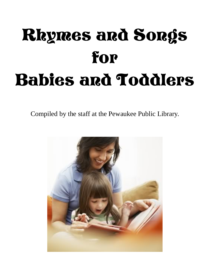# Rhymes and Songs for Babies and Toddlers

Compiled by the staff at the Pewaukee Public Library.

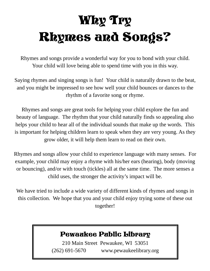## Why Try Rhymes and Songs?

Rhymes and songs provide a wonderful way for you to bond with your child. Your child will love being able to spend time with you in this way.

Saying rhymes and singing songs is fun! Your child is naturally drawn to the beat, and you might be impressed to see how well your child bounces or dances to the rhythm of a favorite song or rhyme.

Rhymes and songs are great tools for helping your child explore the fun and beauty of language. The rhythm that your child naturally finds so appealing also helps your child to hear all of the individual sounds that make up the words. This is important for helping children learn to speak when they are very young. As they grow older, it will help them learn to read on their own.

Rhymes and songs allow your child to experience language with many senses. For example, your child may enjoy a rhyme with his/her ears (hearing), body (moving or bouncing), and/or with touch (tickles) all at the same time. The more senses a child uses, the stronger the activity's impact will be.

We have tried to include a wide variety of different kinds of rhymes and songs in this collection. We hope that you and your child enjoy trying some of these out together!

### Pewaukee Public Library

210 Main Street Pewaukee, WI 53051 (262) 691-5670 www.pewaukeelibrary.org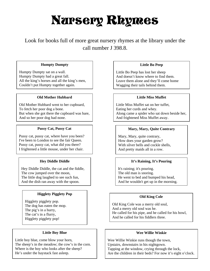### Nursery Rhymes

Look for books full of more great nursery rhymes at the library under the call number J 398.8.

#### **Humpty Dumpty**

Humpty Dumpty sat on a wall. Humpty Dumpty had a great fall. All the king's horses and all the king's men, Couldn't put Humpty together again.

#### **Old Mother Hubbard**

Old Mother Hubbard went to her cupboard, To fetch her poor dog a bone. But when she got there the cupboard was bare, And so her poor dog had none.

#### **Pussy Cat, Pussy Cat**

Pussy cat, pussy cat, where have you been? I've been to London to see the fair Queen. Pussy cat, pussy cat, what did you there? I frightened a little mouse, under her chair.

#### **Hey Diddle Diddle**

Hey Diddle Diddle, the cat and the fiddle, The cow jumped over the moon, The little dog laughed to see such fun, And the dish ran away with the spoon.

#### **Higglety Pigglety Pop**

Higglety pigglety pop. The dog has eaten the mop. The pig's in a hurry, The cat's in a flurry, Higglety pigglety pop!

#### **Little Boy Blue**

Little boy blue, come blow your horn, The sheep's in the meadow; the cow's in the corn. Where is the boy who looks after the sheep? He's under the haystack fast asleep.

#### **Little Bo Peep**

Little Bo Peep has lost her sheep And doesn't know where to find them. Leave them alone and they'll come home Wagging their tails behind them.

#### **Little Miss Muffet**

Little Miss Muffet sat on her tuffet, Eating her curds and whey. Along came a spider who sat down beside her, And frightened Miss Muffet away.

#### **Mary, Mary, Quite Contrary**

Mary, Mary, quite contrary, How does your garden grow? With silver bells and cockle shells, And pretty maids all in a row.

#### **It's Raining, It's Pouring**

It's raining; it's pouring. The old man is snoring. He went to bed and bumped his head, And he wouldn't get up in the morning.

#### **Old King Cole**

Old King Cole was a merry old soul, And a merry old soul was he. He called for his pipe, and he called for his bowl, And he called for his fiddlers three.

#### **Wee Willie Winkie**

Wee Willie Winkie runs though the town, Upstairs, downstairs in his nightgown. Tapping at the window, crying through the lock, Are the children in their beds? For now it's eight o'clock.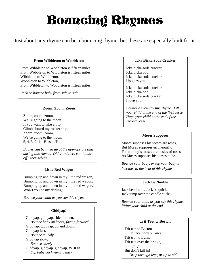### Bouncing Rhymes

Just about any rhyme can be a bouncing rhyme, but these are especially built for it.

#### **From Wibbleton to Wobbleton**

From Wibbleton to Wobbleton is fifteen miles. From Wobbleton to Wibbleton is fifteen miles. Wibbleton to Wobbleton, Wobbleton to Wibbleton, From Wibbleton to Wobbleton is fifteen miles.

*Rock or bounce baby from side to side.* 

#### **Zoom, Zoom, Zoom**

Zoom, zoom, zoom, We're going to the moon. If you want to take a trip, Climb aboard my rocket ship. Zoom, zoom, zoom, We're going to the moon. 5, 4, 3, 2, 1 – Blast off!

*Babies can be lifted up at the appropriate time during this rhyme. Older toddlers can "blast off" themselves.*

#### **Little Red Wagon**

Bumping up and down in my little red wagon, Bumping up and down in my little red wagon, Bumping up and down in my little red wagon, Won't you be my darling!

*Bounce your child as you say this rhyme.* 

#### **Giddyap!**

Giddyap, giddyap, ride to town, *Bounce baby on knees, facing forward* Giddyap, giddyap, up and down. Giddyap fast, *Bounce quickly* Giddyap slow, *Bounce slowly* Giddyap, giddyap, giddyap, WHOA! *Dip baby backwards gently*

#### **Icka Bicka Soda Cracker**

Icka bicka soda cracker, Icka bicka boo. Icka bicka soda cracker, Up goes you!

Icka bicka soda cracker, Icka bicka boo. Icka bicka soda cracker, I love you!

*Bounce as you say this rhyme. Lift your child at the end of the first verse. Huge your child at the end of the second verse.* 

#### **Moses Supposes**

Moses supposes his toeses are roses, But Moses supposes erroneously, For nobody's toeses are posies of roses, As Moses supposes his toeses to be.

*Bounce your baby, or tap your baby's feet/toes to the beat of this rhyme.* 

#### **Jack Be Nimble**

Jack be nimble, Jack be quick, Jack jump over the candle stick!

*Bounce your child as you say this rhyme, lifting your child at the end.* 

#### **Trit Trot to Boston**

Trit trot to Boston, *Bounce baby on knee*  Trit trot to Lynn, Trit trot over the bridge,  *Lift up*  But don't fall in! *Drop through legs, or tip to side*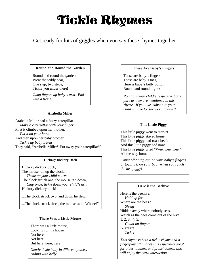### Tickle Rhymes

Get ready for lots of giggles when you say these rhymes together.

#### **Round and Round the Garden**

Round and round the garden, Went the teddy bear, One step, two steps, Tickle you under there!

*Jump fingers up baby's arm. End with a tickle.* 

#### **Arabella Miller**

Arabella Miller had a fuzzy caterpillar. *Make a caterpillar with your finger* First it climbed upon her mother, *Put it on your hand* And then upon her baby brother. *Tickle up baby's arm* They said, "Arabella Miller! Put away your caterpillar!"

#### **Hickory Dickory Dock**

Hickory dickory dock, The mouse ran up the clock. *Tickle up your child's arm*  The clock struck one, the mouse ran down, *Clap once, tickle down your child's arm*  Hickory dickory dock!

...The clock struck two, and down he flew,

...The clock struck three, the mouse said "Wheee!"

#### **There Was a Little Mouse**

There was a little mouse, Looking for his house. Not here, Not here, But here, here, here!

*Gently tickle baby in different places, ending with belly.* 

#### **These Are Baby's Fingers**

These are baby's fingers, These are baby's toes, Here is baby's belly button, Round and round it goes.

*Point out your child's respective body pars as they are mentioned in this rhyme. If you like, substitute your child's name for the word "baby."* 

#### **This Little Piggy**

This little piggy went to market. This little piggy stayed home. This little piggy had roast beef. And this little piggy had none. This little piggy cried "Wee, wee, wee!" All the way home.

*Count off "piggies" on your baby's fingers or toes. Tickle your baby when you reach the last piggy!* 

#### **Here is the Beehive**

Here is the beehive, *Hold up fist*  Where are the bees? *Shrug*  Hidden away where nobody sees. Watch as the bees come out of the hive, 1, 2, 3 , 4, 5. *Count on fingers*  Buzzzzz! *Tickle* 

*This rhyme is both a tickle rhyme and a fingerplay all in one! It is especially great for older toddlers and preschoolers, who will enjoy the extra interaction.*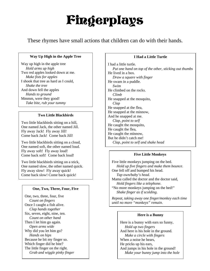### Fingerplays

These rhymes have small actions that children can do with their hands.

#### **Way Up High in the Apple Tree**

Way up high in the apple tree *Hold arms up high*  Two red apples looked down at me. *Make fists for apples* I shook that tree as hard as I could,  *Shake the tree*  And down fell the apples *Hands to ground* Mmmm, were they good! *Take bite, rub your tummy*

#### **Two Little Blackbirds**

Two little blackbirds sitting on a hill, One named Jack, the other named Jill. Fly away Jack! Fly away Jill! Come back Jack! Come back Jill!

Two little blackbirds sitting on a cloud, One named soft, the other named loud. Fly away soft! Fly away loud! Come back soft! Come back loud!

Two little blackbirds sitting on a stick, One named slow, the other named quick. Fly away slow! Fly away quick! Come back slow! Come back quick!

#### **One, Two, Three, Four, Five**

One, two, three, four, five *Count on fingers* Once I caught a fish alive. *Clap hands together* Six, seven, eight, nine, ten. *Count on other hand* Then I let him go again. *Open arms wide* Why did you let him go? *Hands on hips* Because he bit my finger so. Which finger did he bite? The little finger on the right. *Grab and wiggle pinky finger*

#### **I Had a Little Turtle**

I had a little turtle. *Put one hand on top of the other, sticking out thumbs*  He lived in a box. *Draw a square with finger*  He swam in a puddle. *Swim*  He climbed on the rocks. *Climb*  He snapped at the mosquito, *Clap* He snapped at the flea, He snapped at the minnow, And he snapped at me. *Clap, point to self*  He caught the mosquito, He caught the flea, He caught the minnow, But he didn't catch me! *Clap, point to self and shake head*

#### **Five Little Monkeys**

Five little monkeys jumping on the bed.  *Hold up five fingers and make them bounce.*  One fell off and bumped his head. *Tap own/baby's head.*  Mama called the doctor and the doctor said,  *Hold fingers like a telephone.*  "No more monkeys jumping on the bed!" *Shake finger as if scolding.* 

*Repeat, taking away one finger/monkey each time until no more "monkeys" remain.* 

#### **Here is a Bunny**

Here is a bunny with ears so funny, *Hold up two fingers*  And here is his hole in the ground. *Make a circle with fingers*  When a noise he hears, He pricks up his ears, And jumps in his hole in the ground! *Make your bunny jump into the hole*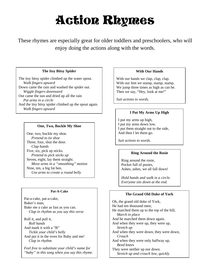### Action Rhymes

These rhymes are especially great for older toddlers and preschoolers, who will enjoy doing the actions along with the words.

#### **The Itsy Bitsy Spider**

The itsy bitsy spider climbed up the water spout. *Walk fingers upward*  Down came the rain and washed the spider out. *Wiggle fingers downward*  Out came the sun and dried up all the rain *Put arms in a circle*  And the itsy bitsy spider climbed up the spout again. *Walk fingers upward* 

#### **One, Two, Buckle My Shoe**

One, two, buckle my shoe. *Pretend to tie shoe*  Three, four, shut the door. *Clap hands*  Five, six, pick up sticks. *Pretend to pick sticks up*  Seven, eight, lay them straight. *Move arms in a "smoothing" motion*  Nine, ten, a big fat hen. *Use arms to create a round belly* 

#### **Pat-A-Cake**

Pat-a-cake, pat-a-cake, Baker's man, Bake me a cake as fast as you can. *Clap in rhythm as you say this verse* 

Roll it, and pull it, *Roll hands*  And mark it with a "B" *Tickle your child's belly*  And put it in the oven for Baby and me! *Clap in rhythm* 

*Feel free to substitute your child's name for "baby" in this song when you say this rhyme.* 

#### **With Our Hands**

With our hands we clap, clap, clap. With our feet we stamp, stamp, stamp. We jump three times as high as can be. Then we say, "Hey, look at me!"

*Suit actions to words.* 

#### **I Put My Arms Up High**

I put my arms up high, I put my arms down low. I put them straight out to the side, And then I let them go.

*Suit actions to words.* 

#### **Ring Around the Rosie**

Ring around the rosie, Pocket full of posies, Ashes, ashes, we all fall down!

*Hold hands and walk in a circle. Everyone sits down at the end.* 

#### **The Grand Old Duke of York**

Oh, the grand old duke of York, He had ten thousand men; He marched them up to the top of the hill, *March in place*  And he marched them down again. And when they were up, they were up, *Stretch up* And when they were down, they were down, *Crouch*  And when they were only halfway up, *Bend knees*  They were neither up nor down. *Stretch up and crouch low, quickly*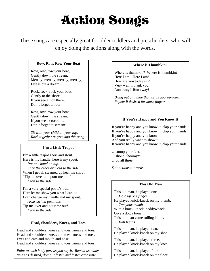### Action Songs

These songs are especially great for older toddlers and preschoolers, who will enjoy doing the actions along with the words.

#### **Row, Row, Row Your Boat**

Row, row, row your boat, Gently down the stream. Merrily, merrily, merrily, merrily, Life is but a dream.

Rock, rock, rock your boat, Gently to the shore. If you see a lion there, Don't forget to roar!

Row, row, row your boat, Gently down the stream. If you see a crocodile, Don't forget to scream!

*Sit with your child on your lap. Rock together as you sing this song.* 

#### **I'm a Little Teapot**

I'm a little teapot short and stout. Here is my handle, here is my spout. *Put one hand on hip. Stick the other arm out to the side*  When I get all steamed up hear me shout, "Tip me over and pour me out!" *Lean to the side.* 

I'm a very special pot it's true. Here let me show you what I can do. I can change my handle and my spout. *Arms switch positions*  Tip me over and pour me out! *Lean to the side* 

#### **Head, Shoulders, Knees, and Toes**

Head and shoulders, knees and toes, knees and toes. Head and shoulders, knees and toes, knees and toes. Eyes and ears and mouth and nose.

Head and shoulders, knees and toes, knees and toes!

*Point to each body part as you say it. Repeat as many times as desired, doing it faster and faster each time.* 

#### **Where is Thumbkin?**

Where is thumbkin? Where is thumbkin? Here I am! Here I am! How are you today sir? Very well, I thank you, Run away! Run away!

*Bring out and hide thumbs as appropriate. Repeat if desired for more fingers.* 

#### **If You're Happy and You Know It**

If you're happy and you know it, clap your hands. If you're happy and you know it, clap your hands. If you're happy and you know it, And you really want to show it, If you're happy and you know it, clap your hands.

…stomp your feet. …shout, "hooray!" …do all three.

*Suit actions to words.* 

#### **This Old Man**

This old man, he played one, *Hold up one finger*  He played knick-knack on my thumb. *Tap your thumb*  With a knick-knack, paddywhack, Give a dog a bone, This old man came rolling home. *Roll hands* 

This old man, he played two, He played knick-knack on my shoe…

This old man, he played three, He played knick-knack on my knee…

This old man, he played four, He played knick-knack on the floor…